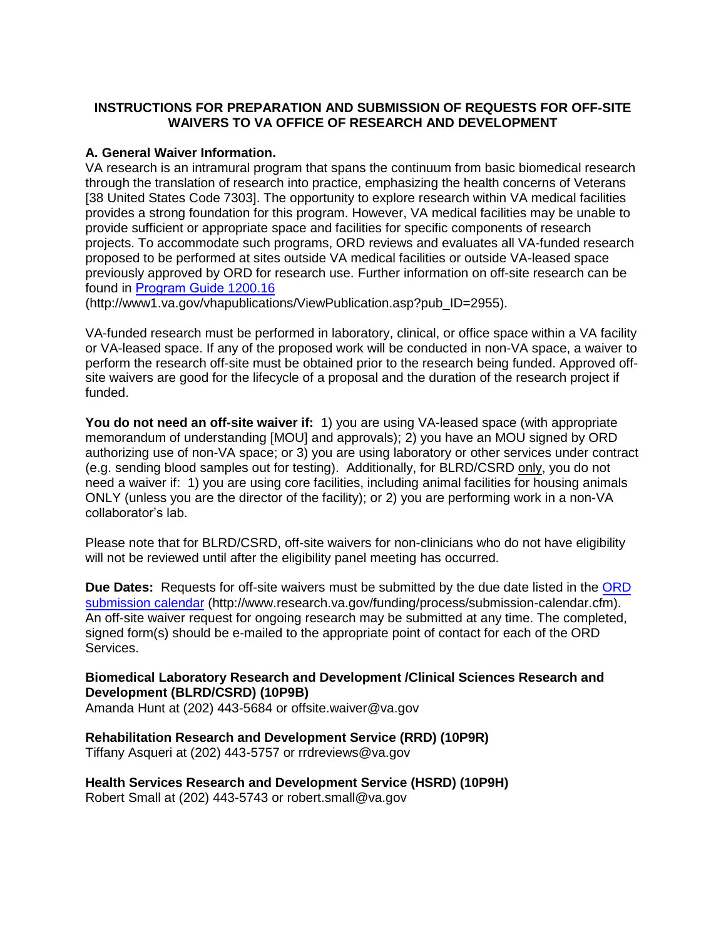### **INSTRUCTIONS FOR PREPARATION AND SUBMISSION OF REQUESTS FOR OFF-SITE WAIVERS TO VA OFFICE OF RESEARCH AND DEVELOPMENT**

#### **A. General Waiver Information.**

VA research is an intramural program that spans the continuum from basic biomedical research through the translation of research into practice, emphasizing the health concerns of Veterans [38 United States Code 7303]. The opportunity to explore research within VA medical facilities provides a strong foundation for this program. However, VA medical facilities may be unable to provide sufficient or appropriate space and facilities for specific components of research projects. To accommodate such programs, ORD reviews and evaluates all VA-funded research proposed to be performed at sites outside VA medical facilities or outside VA-leased space previously approved by ORD for research use. Further information on off-site research can be found in [Program Guide](https://www.research.va.gov/resources/policies/handbooks.cfm) 1200.16

(http://www1.va.gov/vhapublications/ViewPublication.asp?pub\_ID=2955).

VA-funded research must be performed in laboratory, clinical, or office space within a VA facility or VA-leased space. If any of the proposed work will be conducted in non-VA space, a waiver to perform the research off-site must be obtained prior to the research being funded. Approved offsite waivers are good for the lifecycle of a proposal and the duration of the research project if funded.

**You do not need an off-site waiver if:** 1) you are using VA-leased space (with appropriate memorandum of understanding [MOU] and approvals); 2) you have an MOU signed by ORD authorizing use of non-VA space; or 3) you are using laboratory or other services under contract (e.g. sending blood samples out for testing). Additionally, for BLRD/CSRD only, you do not need a waiver if: 1) you are using core facilities, including animal facilities for housing animals ONLY (unless you are the director of the facility); or 2) you are performing work in a non-VA collaborator's lab.

Please note that for BLRD/CSRD, off-site waivers for non-clinicians who do not have eligibility will not be reviewed until after the eligibility panel meeting has occurred.

**Due Dates:** Requests for off-site waivers must be submitted by the due date listed in the [ORD](http://www.research.va.gov/funding/process/submission-calendar.cfm) [submission calendar](http://www.research.va.gov/funding/process/submission-calendar.cfm) (http://www.research.va.gov/funding/process/submission-calendar.cfm). An off-site waiver request for ongoing research may be submitted at any time. The completed, signed form(s) should be e-mailed to the appropriate point of contact for each of the ORD Services.

#### **Biomedical Laboratory Research and Development /Clinical Sciences Research and Development (BLRD/CSRD) (10P9B)**

Amanda Hunt at (202) 443-5684 or offsite.waiver@va.gov

#### **Rehabilitation Research and Development Service (RRD) (10P9R)**  Tiffany Asqueri at (202) 443-5757 or rrdreviews@va.gov

**Health Services Research and Development Service (HSRD) (10P9H)**  Robert Small at (202) 443-5743 or robert.small@va.gov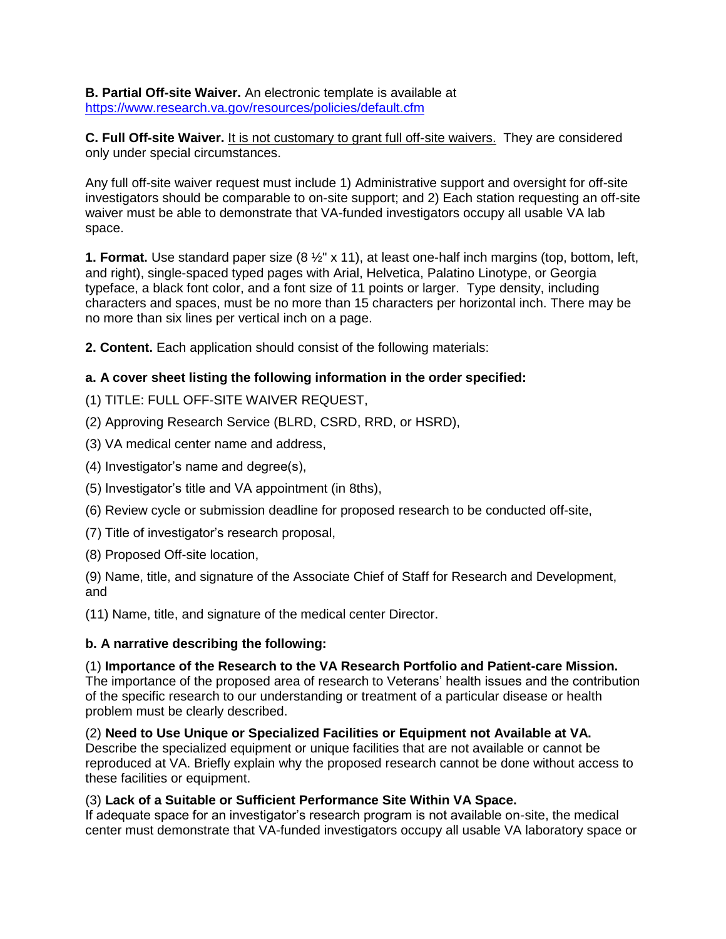**B. Partial Off-site Waiver.** An electronic template is available at <https://www.research.va.gov/resources/policies/default.cfm>

**C. Full Off-site Waiver.** It is not customary to grant full off-site waivers. They are considered only under special circumstances.

Any full off-site waiver request must include 1) Administrative support and oversight for off-site investigators should be comparable to on-site support; and 2) Each station requesting an off-site waiver must be able to demonstrate that VA-funded investigators occupy all usable VA lab space.

**1. Format.** Use standard paper size (8 ½" x 11), at least one-half inch margins (top, bottom, left, and right), single-spaced typed pages with Arial, Helvetica, Palatino Linotype, or Georgia typeface, a black font color, and a font size of 11 points or larger. Type density, including characters and spaces, must be no more than 15 characters per horizontal inch. There may be no more than six lines per vertical inch on a page.

**2. Content.** Each application should consist of the following materials:

# **a. A cover sheet listing the following information in the order specified:**

(1) TITLE: FULL OFF-SITE WAIVER REQUEST,

- (2) Approving Research Service (BLRD, CSRD, RRD, or HSRD),
- (3) VA medical center name and address,
- (4) Investigator's name and degree(s),
- (5) Investigator's title and VA appointment (in 8ths),
- (6) Review cycle or submission deadline for proposed research to be conducted off-site,
- (7) Title of investigator's research proposal,
- (8) Proposed Off-site location,

(9) Name, title, and signature of the Associate Chief of Staff for Research and Development, and

(11) Name, title, and signature of the medical center Director.

#### **b. A narrative describing the following:**

#### (1) **Importance of the Research to the VA Research Portfolio and Patient-care Mission.**

The importance of the proposed area of research to Veterans' health issues and the contribution of the specific research to our understanding or treatment of a particular disease or health problem must be clearly described.

(2) **Need to Use Unique or Specialized Facilities or Equipment not Available at VA.**  Describe the specialized equipment or unique facilities that are not available or cannot be reproduced at VA. Briefly explain why the proposed research cannot be done without access to these facilities or equipment.

#### (3) **Lack of a Suitable or Sufficient Performance Site Within VA Space.**

If adequate space for an investigator's research program is not available on-site, the medical center must demonstrate that VA-funded investigators occupy all usable VA laboratory space or